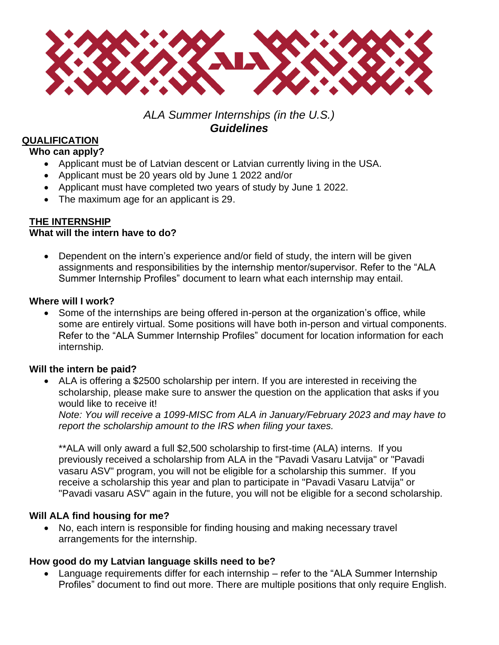

# *ALA Summer Internships (in the U.S.) Guidelines*

# **QUALIFICATION**

#### **Who can apply?**

- Applicant must be of Latvian descent or Latvian currently living in the USA.
- Applicant must be 20 years old by June 1 2022 and/or
- Applicant must have completed two years of study by June 1 2022.
- The maximum age for an applicant is 29.

## **THE INTERNSHIP**

## **What will the intern have to do?**

• Dependent on the intern's experience and/or field of study, the intern will be given assignments and responsibilities by the internship mentor/supervisor. Refer to the "ALA Summer Internship Profiles" document to learn what each internship may entail.

#### **Where will I work?**

• Some of the internships are being offered in-person at the organization's office, while some are entirely virtual. Some positions will have both in-person and virtual components. Refer to the "ALA Summer Internship Profiles" document for location information for each internship.

## **Will the intern be paid?**

• ALA is offering a \$2500 scholarship per intern. If you are interested in receiving the scholarship, please make sure to answer the question on the application that asks if you would like to receive it!

*Note: You will receive a 1099-MISC from ALA in January/February 2023 and may have to report the scholarship amount to the IRS when filing your taxes.* 

\*\*ALA will only award a full \$2,500 scholarship to first-time (ALA) interns. If you previously received a scholarship from ALA in the "Pavadi Vasaru Latvija" or "Pavadi vasaru ASV" program, you will not be eligible for a scholarship this summer. If you receive a scholarship this year and plan to participate in "Pavadi Vasaru Latvija" or "Pavadi vasaru ASV" again in the future, you will not be eligible for a second scholarship.

## **Will ALA find housing for me?**

• No, each intern is responsible for finding housing and making necessary travel arrangements for the internship.

## **How good do my Latvian language skills need to be?**

• Language requirements differ for each internship – refer to the "ALA Summer Internship Profiles" document to find out more. There are multiple positions that only require English.